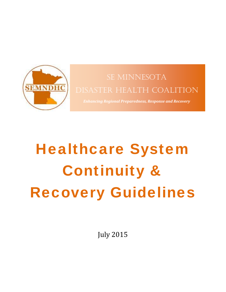

# SE MINNESOTA DISASTER HEALTH COALITION

*Enhancing Regional Preparedness, Response and Recovery*

# Healthcare System Continuity & Recovery Guidelines

July 2015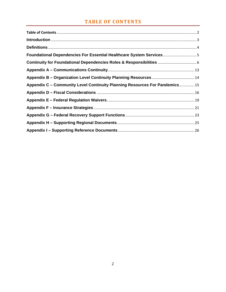## **TABLE OF CONTENTS**

| Foundational Dependencies For Essential Healthcare System Services5         |  |
|-----------------------------------------------------------------------------|--|
| Continuity for Foundational Dependencies Roles & Responsibilities  6        |  |
|                                                                             |  |
|                                                                             |  |
| Appendix C - Community Level Continuity Planning Resources For Pandemics 15 |  |
|                                                                             |  |
|                                                                             |  |
|                                                                             |  |
|                                                                             |  |
|                                                                             |  |
|                                                                             |  |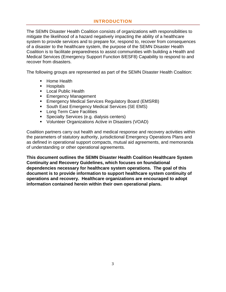#### **INTRODUCTION**

The SEMN Disaster Health Coalition consists of organizations with responsibilities to mitigate the likelihood of a hazard negatively impacting the ability of a healthcare system to provide services and to prepare for, respond to, recover from consequences of a disaster to the healthcare system, the purpose of the SEMN Disaster Health Coalition is to facilitate preparedness to assist communities with building a Health and Medical Services (Emergency Support Function 8/ESF8) Capability to respond to and recover from disasters.

The following groups are represented as part of the SEMN Disaster Health Coalition:

- **Home Health**
- **Hospitals**
- **Local Public Health**
- **Emergency Management**
- **Emergency Medical Services Regulatory Board (EMSRB)**
- **South East Emergency Medical Services (SE EMS)**
- **Long Term Care Facilities**
- **Specialty Services (e.g. dialysis centers)**
- Volunteer Organizations Active in Disasters (VOAD)

Coalition partners carry out health and medical response and recovery activities within the parameters of statutory authority, jurisdictional Emergency Operations Plans and as defined in operational support compacts, mutual aid agreements, and memoranda of understanding or other operational agreements.

**This document outlines the SEMN Disaster Health Coalition Healthcare System Continuity and Recovery Guidelines, which focuses on foundational dependencies necessary for healthcare system operations. The goal of this document is to provide information to support healthcare system continuity of operations and recovery. Healthcare organizations are encouraged to adopt information contained herein within their own operational plans.**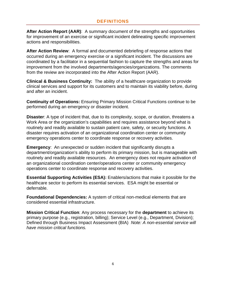**After Action Report (AAR)**: A summary document of the strengths and opportunities for improvement of an exercise or significant incident delineating specific improvement actions and responsibilities.

**After Action Review**: A formal and documented debriefing of response actions that occurred during an emergency exercise or a significant incident. The discussions are coordinated by a facilitator in a sequential fashion to capture the strengths and areas for improvement from the involved departments/agencies/organizations. The comments from the review are incorporated into the After Action Report (AAR).

**Clinical & Business Continuity:** The ability of a healthcare organization to provide clinical services and support for its customers and to maintain its viability before, during and after an incident.

**Continuity of Operations:** Ensuring Primary Mission Critical Functions continue to be performed during an emergency or disaster incident.

**Disaster**: A type of incident that, due to its complexity, scope, or duration, threatens a Work Area or the organization's capabilities and requires assistance beyond what is routinely and readily available to sustain patient care, safety, or security functions. A disaster requires activation of an organizational coordination center or community emergency operations center to coordinate response or recovery activities.

**Emergency:** An unexpected or sudden incident that significantly disrupts a department/organization's ability to perform its primary mission, but is manageable with routinely and readily available resources. An emergency does not require activation of an organizational coordination center/operations center or community emergency operations center to coordinate response and recovery activities.

**Essential Supporting Activities (ESA):** Enablers/actions that make it possible for the healthcare sector to perform its essential services. ESA might be essential or deferrable.

**Foundational Dependencies:** A system of critical non-medical elements that are considered essential infrastructure.

**Mission Critical Function**: Any process necessary for the **department** to achieve its primary purpose (e.g., registration, billing); Service Level (e.g., Department, Division); Defined through Business Impact Assessment (BIA) *Note: A non-essential service will have mission critical functions.*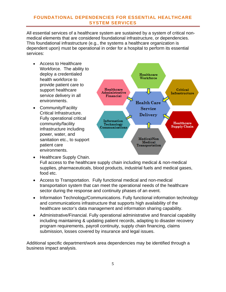#### **FOUNDATIONAL DEPENDENCIES FOR ESSENTIAL HEALTHCARE SYSTEM SERVICES**

All essential services of a healthcare system are sustained by a system of critical nonmedical elements that are considered foundational infrastructure, or dependencies. This foundational infrastructure (e.g., the systems a healthcare organization is dependent upon) must be operational in order for a hospital to perform its essential services:

- Access to Healthcare Workforce. The ability to deploy a credentialed health workforce to provide patient care to support healthcare service delivery in all environments.
- Community/Facility Critical Infrastructure. Fully operational critical community/facility infrastructure including power, water, and sanitation etc., to support patient care environments.



- Healthcare Supply Chain. Full access to the healthcare supply chain including medical & non-medical supplies, pharmaceuticals, blood products, industrial fuels and medical gases, food etc.
- Access to Transportation. Fully functional medical and non-medical transportation system that can meet the operational needs of the healthcare sector during the response and continuity phases of an event.
- Information Technology/Communications. Fully functional information technology and communications infrastructure that supports high availability of the healthcare sector's data management and information sharing capability.
- Administrative/Financial. Fully operational administrative and financial capability including maintaining & updating patient records, adapting to disaster recovery program requirements, payroll continuity, supply chain financing, claims submission, losses covered by insurance and legal issues.

Additional specific department/work area dependencies may be identified through a business impact analysis.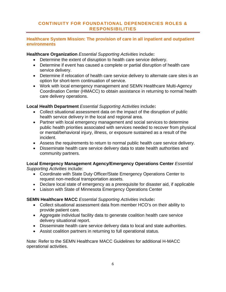#### **CONTINUITY FOR FOUNDATIONAL DEPENDENCIES ROLES & RESPONSIBILITIES**

#### **Healthcare System Mission: The provision of care in all inpatient and outpatient environments**

#### **Healthcare Organization** *Essential Supporting Activities* include**:**

- Determine the extent of disruption to health care service delivery.
- Determine if event has caused a complete or partial disruption of health care service delivery.
- Determine if relocation of health care service delivery to alternate care sites is an option for short-term continuation of service.
- Work with local emergency management and SEMN Healthcare Multi-Agency Coordination Center (HMACC) to obtain assistance in returning to normal health care delivery operations.

#### **Local Health Department** *Essential Supporting Activities* include**:**

- Collect situational assessment data on the impact of the disruption of public health service delivery in the local and regional area.
- Partner with local emergency management and social services to determine public health priorities associated with services needed to recover from physical or mental/behavioral injury, illness, or exposure sustained as a result of the incident.
- Assess the requirements to return to normal public health care service delivery.
- Disseminate health care service delivery data to state health authorities and community partners.

#### **Local Emergency Management Agency/Emergency Operations Center** *Essential Supporting Activities* include:

- Coordinate with State Duty Officer/State Emergency Operations Center to request non-medical transportation assets.
- Declare local state of emergency as a prerequisite for disaster aid, if applicable
- Liaison with State of Minnesota Emergency Operations Center

**SEMN Healthcare MACC** *Essential Supporting Activities* include**:**

- Collect situational assessment data from member HCO's on their ability to provide patient care.
- Aggregate individual facility data to generate coalition health care service delivery situational report.
- Disseminate health care service delivery data to local and state authorities.
- Assist coalition partners in returning to full operational status.

Note: Refer to the SEMN Healthcare MACC Guidelines for additional H-MACC operational activities.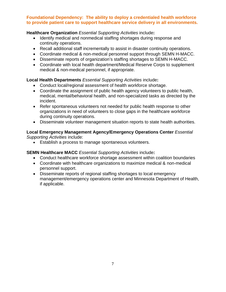#### **Foundational Dependency: The ability to deploy a credentialed health workforce to provide patient care to support healthcare service delivery in all environments.**

#### **Healthcare Organization** *Essential Supporting Activities* include**:**

- Identify medical and nonmedical staffing shortages during response and continuity operations.
- Recall additional staff incrementally to assist in disaster continuity operations.
- Coordinate medical & non-medical personnel support through SEMN H-MACC.
- Disseminate reports of organization's staffing shortages to SEMN H-MACC.
- Coordinate with local health department/Medical Reserve Corps to supplement medical & non-medical personnel, if appropriate.

#### **Local Health Departments** *Essential Supporting Activities* include**:**

- Conduct local/regional assessment of health workforce shortage.
- Coordinate the assignment of public health agency volunteers to public health, medical, mental/behavioral health, and non-specialized tasks as directed by the incident.
- Refer spontaneous volunteers not needed for public health response to other organizations in need of volunteers to close gaps in the healthcare workforce during continuity operations.
- Disseminate volunteer management situation reports to state health authorities.

#### **Local Emergency Management Agency/Emergency Operations Center** *Essential Supporting Activities* include:

Establish a process to manage spontaneous volunteers.

#### **SEMN Healthcare MACC** *Essential Supporting Activities* include**:**

- Conduct healthcare workforce shortage assessment within coalition boundaries
- Coordinate with healthcare organizations to maximize medical & non-medical personnel support.
- Disseminate reports of regional staffing shortages to local emergency management/emergency operations center and Minnesota Department of Health, if applicable.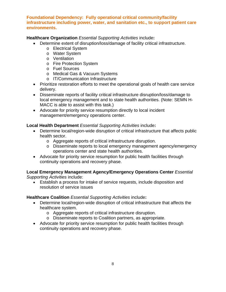#### **Foundational Dependency: Fully operational critical community/facility infrastructure including power, water, and sanitation etc., to support patient care environments.**

#### **Healthcare Organization** *Essential Supporting Activities* include**:**

- Determine extent of disruption/loss/damage of facility critical infrastructure.
	- o Electrical System
	- o Water System
	- o Ventilation
	- o Fire Protection System
	- o Fuel Sources
	- o Medical Gas & Vacuum Systems
	- o IT/Communication Infrastructure
- Prioritize restoration efforts to meet the operational goals of health care service delivery.
- Disseminate reports of facility critical infrastructure disruption/loss/damage to local emergency management and to state health authorities. (Note: SEMN H-MACC is able to assist with this task.)
- Advocate for priority service resumption directly to local incident management/emergency operations center.

#### **Local Health Department** *Essential Supporting Activities* include**:**

- Determine local/region-wide disruption of critical infrastructure that affects public health sector.
	- o Aggregate reports of critical infrastructure disruption.
	- o Disseminate reports to local emergency management agency/emergency operations center and state health authorities.
- Advocate for priority service resumption for public health facilities through continuity operations and recovery phase.

#### **Local Emergency Management Agency/Emergency Operations Center** *Essential Supporting Activities* include:

 Establish a process for intake of service requests, include disposition and resolution of service issues

#### **Healthcare Coalition** *Essential Supporting Activities* include**:**

- Determine local/region-wide disruption of critical infrastructure that affects the healthcare system.
	- o Aggregate reports of critical infrastructure disruption.
	- o Disseminate reports to Coalition partners, as appropriate.
- Advocate for priority service resumption for public health facilities through continuity operations and recovery phase.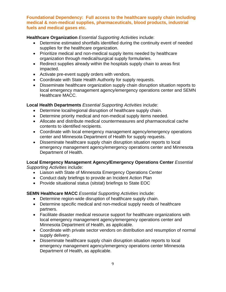**Foundational Dependency: Full access to the healthcare supply chain including medical & non-medical supplies, pharmaceuticals, blood products, industrial fuels and medical gases etc.**

#### **Healthcare Organization** *Essential Supporting Activities* include:

- Determine estimated shortfalls identified during the continuity event of needed supplies for the healthcare organization.
- Prioritize medical and non-medical supply items needed by healthcare organization through medical/surgical supply formularies.
- Redirect supplies already within the hospitals supply chain to areas first impacted.
- Activate pre-event supply orders with vendors.
- Coordinate with State Health Authority for supply requests.
- Disseminate healthcare organization supply chain disruption situation reports to local emergency management agency/emergency operations center and SEMN Healthcare MACC.

#### **Local Health Departments** *Essential Supporting Activities* include:

- Determine local/regional disruption of healthcare supply chain.
- Determine priority medical and non-medical supply items needed.
- Allocate and distribute medical countermeasures and pharmaceutical cache contents to identified recipients.
- Coordinate with local emergency management agency/emergency operations center and Minnesota Department of Health for supply requests.
- Disseminate healthcare supply chain disruption situation reports to local emergency management agency/emergency operations center and Minnesota Department of Health.

# **Local Emergency Management Agency/Emergency Operations Center** *Essential*

*Supporting Activities* include:

- Liaison with State of Minnesota Emergency Operations Center
- Conduct daily briefings to provide an Incident Action Plan
- Provide situational status (sitstat) briefings to State EOC

**SEMN Healthcare MACC** *Essential Supporting Activities* include:

- Determine region-wide disruption of healthcare supply chain.
- Determine specific medical and non-medical supply needs of healthcare partners.
- Facilitate disaster medical resource support for healthcare organizations with local emergency management agency/emergency operations center and Minnesota Department of Health, as applicable.
- Coordinate with private sector vendors on distribution and resumption of normal supply delivery.
- Disseminate healthcare supply chain disruption situation reports to local emergency management agency/emergency operations center Minnesota Department of Health, as applicable.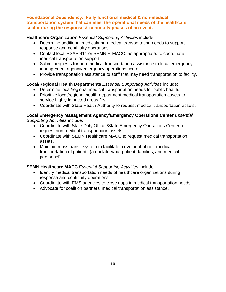**Foundational Dependency: Fully functional medical & non-medical transportation system that can meet the operational needs of the healthcare sector during the response & continuity phases of an event.**

#### **Healthcare Organization** *Essential Supporting Activities* include:

- Determine additional medical/non-medical transportation needs to support response and continuity operations.
- Contact local PSAP/911 or SEMN H-MACC, as appropriate, to coordinate medical transportation support.
- Submit requests for non-medical transportation assistance to local emergency management agency/emergency operations center.
- Provide transportation assistance to staff that may need transportation to facility.

#### **Local/Regional Health Departments** *Essential Supporting Activities* include:

- Determine local/regional medical transportation needs for public health.
- Prioritize local/regional health department medical transportation assets to service highly impacted areas first.
- Coordinate with State Health Authority to request medical transportation assets.

#### **Local Emergency Management Agency/Emergency Operations Center** *Essential Supporting Activities* include:

- Coordinate with State Duty Officer/State Emergency Operations Center to request non-medical transportation assets.
- Coordinate with SEMN Healthcare MACC to request medical transportation assets.
- Maintain mass transit system to facilitate movement of non-medical transportation of patients (ambulatory/out-patient, families, and medical personnel)

#### **SEMN Healthcare MACC** *Essential Supporting Activities* include:

- Identify medical transportation needs of healthcare organizations during response and continuity operations.
- Coordinate with EMS agencies to close gaps in medical transportation needs.
- Advocate for coalition partners' medical transportation assistance.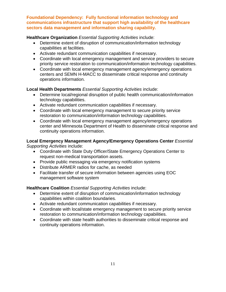**Foundational Dependency: Fully functional information technology and communications infrastructure that support high availability of the healthcare sectors data management and information sharing capability.**

#### **Healthcare Organization** *Essential Supporting Activities* include:

- Determine extent of disruption of communication/information technology capabilities at facilities.
- Activate redundant communication capabilities if necessary.
- Coordinate with local emergency management and service providers to secure priority service restoration to communication/information technology capabilities.
- Coordinate with local emergency management agency/emergency operations centers and SEMN H-MACC to disseminate critical response and continuity operations information.

#### **Local Health Departments** *Essential Supporting Activities* include:

- Determine local/regional disruption of public health communication/information technology capabilities.
- Activate redundant communication capabilities if necessary.
- Coordinate with local emergency management to secure priority service restoration to communication/information technology capabilities.
- Coordinate with local emergency management agency/emergency operations center and Minnesota Department of Health to disseminate critical response and continuity operations information.

#### **Local Emergency Management Agency/Emergency Operations Center** *Essential Supporting Activities* include:

- Coordinate with State Duty Officer/State Emergency Operations Center to request non-medical transportation assets.
- Provide public messaging via emergency notification systems
- Distribute ARMER radios for cache, as needed
- Facilitate transfer of secure information between agencies using EOC management software system

#### **Healthcare Coalition** *Essential Supporting Activities* include:

- Determine extent of disruption of communication/information technology capabilities within coalition boundaries.
- Activate redundant communication capabilities if necessary.
- Coordinate with local/state emergency management to secure priority service restoration to communication/information technology capabilities.
- Coordinate with state health authorities to disseminate critical response and continuity operations information.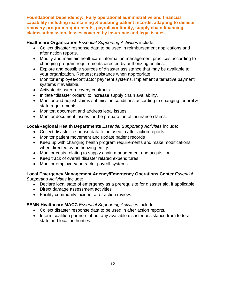**Foundational Dependency: Fully operational administrative and financial capability including maintaining & updating patient records, adapting to disaster recovery program requirements, payroll continuity, supply chain financing, claims submission, losses covered by insurance and legal issues.**

#### **Healthcare Organization** *Essential Supporting Activities* include:

- Collect disaster response data to be used in reimbursement applications and after action reports.
- Modify and maintain healthcare information management practices according to changing program requirements directed by authorizing entities.
- Explore and possible sources of disaster assistance that may be available to your organization. Request assistance when appropriate.
- Monitor employee/contractor payment systems. Implement alternative payment systems if available.
- Activate disaster recovery contracts.
- Initiate "disaster orders" to increase supply chain availability.
- Monitor and adjust claims submission conditions according to changing federal & state requirements.
- Monitor, document and address legal issues.
- Monitor document losses for the preparation of insurance claims.

#### **Local/Regional Health Departments** *Essential Supporting Activities* include:

- Collect disaster response data to be used in after action reports.
- Monitor patient movement and update patient records
- Keep up with changing health program requirements and make modifications when directed by authorizing entity.
- Monitor costs relating to supply chain management and acquisition.
- Keep track of overall disaster related expenditures
- Monitor employee/contractor payroll systems.

#### **Local Emergency Management Agency/Emergency Operations Center** *Essential Supporting Activities* include:

Declare local state of emergency as a prerequisite for disaster aid, if applicable

- Direct damage assessment activities
- Facility community incident after action review.

#### **SEMN Healthcare MACC** *Essential Supporting Activities* include:

- Collect disaster response data to be used in after action reports.
- Inform coalition partners about any available disaster assistance from federal, state and local authorities.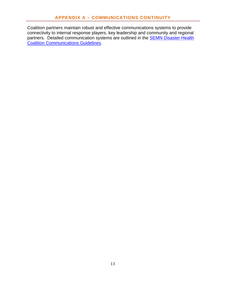Coalition partners maintain robust and effective communications systems to provide connectivity to internal response players, key leadership and community and regional partners. Detailed communication systems are outlined in the **SEMN Disaster Health** Coalition Communications Guidelines.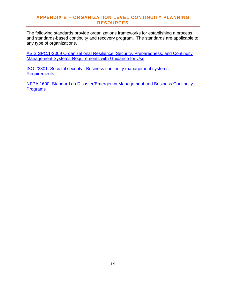#### **APPENDIX B – ORGANIZATION LEVEL CONTINUITY PLANNING RESOURCES**

The following standards provide organizations frameworks for establishing a process and standards-based continuity and recovery program. The standards are applicable to any type of organizations.

ASIS SPC.1-2009 Organizational Resilience: Security, Preparedness, and Continuity Management Systems-Requirements with Guidance for Use

ISO 22301: Societal security –Business continuity management systems --- **Requirements** 

NFPA 1600: Standard on Disaster/Emergency Management and Business Continuity Programs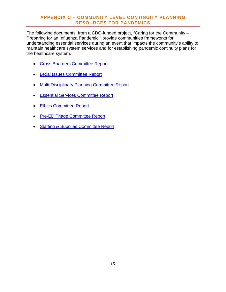#### **APPENDIX C – COMMUNITY LEVEL CONTINUITY PLANNING RESOURCES FOR PANDEMICS**

The following documents, from a CDC-funded project, "Caring for the Community – Preparing for an Influenza Pandemic," provide communities frameworks for understanding essential services during an event that impacts the community's ability to maintain healthcare system services and for establishing pandemic continuity plans for the healthcare system.

- Cross Boarders Committee Report
- Legal Issues Committee Report
- Multi-Disciplinary Planning Committee Report
- **Essential Services Committee Report**
- Ethics Committee Report
- Pre-ED Triage Committee Report
- Staffing & Supplies Committee Report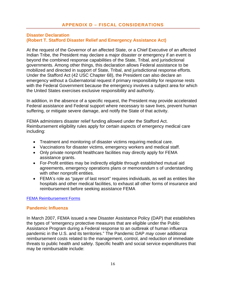#### **Disaster Declaration (Robert T. Stafford Disaster Relief and Emergency Assistance Act)**

At the request of the Governor of an affected State, or a Chief Executive of an affected Indian Tribe, the President may declare a major disaster or emergency if an event is beyond the combined response capabilities of the State, Tribal, and jurisdictional governments. Among other things, this declaration allows Federal assistance to be mobilized and directed in support of State, Tribal, and jurisdictional response efforts. Under the Stafford Act (42 USC Chapter 68), the President can also declare an emergency without a Gubernatorial request if primary responsibility for response rests with the Federal Government because the emergency involves a subject area for which the United States exercises exclusive responsibility and authority.

In addition, in the absence of a specific request, the President may provide accelerated Federal assistance and Federal support where necessary to save lives, prevent human suffering, or mitigate severe damage, and notify the State of that activity.

FEMA administers disaster relief funding allowed under the Stafford Act. Reimbursement eligibility rules apply for certain aspects of emergency medical care including:

- Treatment and monitoring of disaster victims requiring medical care.
- Vaccinations for disaster victims, emergency workers and medical staff.
- Only private nonprofit healthcare facilities may directly apply for FEMA assistance grants.
- For-Profit entities may be indirectly eligible through established mutual aid agreements, emergency operations plans or memorandum s of understanding with other nonprofit entities.
- FEMA's role as "payer of last resort" requires individuals, as well as entities like hospitals and other medical facilities, to exhaust all other forms of insurance and reimbursement before seeking assistance FEMA

#### FEMA Reimbursement Forms

#### **Pandemic Influenza**

In March 2007, FEMA issued a new Disaster Assistance Policy (DAP) that establishes the types of "emergency protective measures that are eligible under the Public Assistance Program during a Federal response to an outbreak of human influenza pandemic in the U.S. and its territories." The Pandemic DAP *may* cover additional reimbursement costs related to the management, control, and reduction of immediate threats to public health and safety. Specific health and social service expenditures that may be reimbursable include: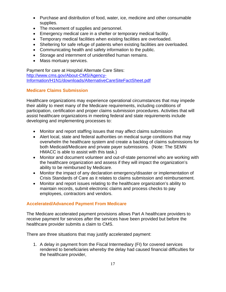- Purchase and distribution of food, water, ice, medicine and other consumable supplies.
- The movement of supplies and personnel.
- Emergency medical care in a shelter or temporary medical facility.
- Temporary medical facilities when existing facilities are overloaded.
- Sheltering for safe refuge of patients when existing facilities are overloaded.
- Communicating health and safety information to the public.
- Storage and internment of unidentified human remains.
- Mass mortuary services.

Payment for care at Hospital Alternate Care Sites: http://www.cms.gov/About-CMS/Agency-Information/H1N1/downloads/AlternativeCareSiteFactSheet.pdf

#### **Medicare Claims Submission**

Healthcare organizations may experience operational circumstances that may impede their ability to meet many of the Medicare requirements, including conditions of participation, certification and proper claims submission procedures. Activities that will assist healthcare organizations in meeting federal and state requirements include developing and implementing processes to:

- Monitor and report staffing issues that may affect claims submission
- Alert local, state and federal authorities on medical surge conditions that may overwhelm the healthcare system and create a backlog of claims submissions for both Medicaid/Medicare and private payer submissions. (Note: The SEMN HMACC is able to assist with this task.)
- Monitor and document volunteer and out-of-state personnel who are working with the healthcare organization and assess if they will impact the organization's ability to be reimbursed by Medicare.
- Monitor the impact of any declaration emergency/disaster or implementation of Crisis Standards of Care as it relates to claims submission and reimbursement.
- Monitor and report issues relating to the healthcare organization's ability to maintain records, submit electronic claims and process checks to pay employees, contractors and vendors.

#### **Accelerated/Advanced Payment From Medicare**

The Medicare accelerated payment provisions allows Part A healthcare providers to receive payment for services after the services have been provided but before the healthcare provider submits a claim to CMS.

There are three situations that may justify accelerated payment:

1. A delay in payment from the Fiscal Intermediary (FI) for covered services rendered to beneficiaries whereby the delay had caused financial difficulties for the healthcare provider,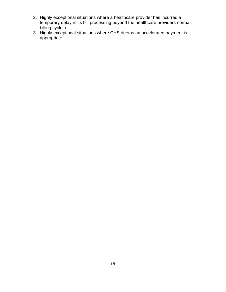- 2. Highly exceptional situations where a healthcare provider has incurred a temporary delay in its bill processing beyond the healthcare providers normal billing cycle, or
- 3. Highly exceptional situations where CHS deems an accelerated payment is appropriate.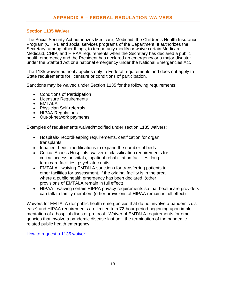#### **Section 1135 Waiver**

The Social Security Act authorizes Medicare, Medicaid, the Children's Health Insurance Program (CHIP), and social services programs of the Department. It authorizes the Secretary, among other things, to temporarily modify or waive certain Medicare, Medicaid, CHIP, and HIPAA requirements when the Secretary has declared a public health emergency and the President has declared an emergency or a major disaster under the Stafford Act or a national emergency under the National Emergencies Act.

The 1135 waiver authority applies only to Federal requirements and does not apply to State requirements for licensure or conditions of participation.

Sanctions may be waived under Section 1135 for the following requirements:

- Conditions of Participation
- Licensure Requirements
- EMTALA
- Physician Self-referrals
- HIPAA Regulations
- Out-of-network payments

Examples of requirements waived/modified under section 1135 waivers:

- Hospitals- recordkeeping requirements, certification for organ transplants
- Inpatient beds- modifications to expand the number of beds
- Critical Access Hospitals- waiver of classification requirements for critical access hospitals, inpatient rehabilitation facilities, long term care facilities, psychiatric units
- EMTALA waiving EMTALA sanctions for transferring patients to other facilities for assessment, if the original facility is in the area where a public health emergency has been declared. (other provisions of EMTALA remain in full effect)
- HIPAA waiving certain HIPPA privacy requirements so that healthcare providers can talk to family members (other provisions of HIPAA remain in full effect)

Waivers for EMTALA (for public health emergencies that do not involve a pandemic disease) and HIPAA requirements are limited to a 72-hour period beginning upon implementation of a hospital disaster protocol. Waiver of EMTALA requirements for emergencies that involve a pandemic disease last until the termination of the pandemicrelated public health emergency.

How to request a 1135 waiver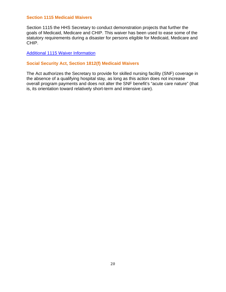#### **Section 1115 Medicaid Waivers**

Section 1115 the HHS Secretary to conduct demonstration projects that further the goals of Medicaid, Medicare and CHIP. This waiver has been used to ease some of the statutory requirements during a disaster for persons eligible for Medicaid, Medicare and CHIP.

#### Additional 1115 Waiver Information

#### **Social Security Act, Section 1812(f) Medicaid Waivers**

The Act authorizes the Secretary to provide for skilled nursing facility (SNF) coverage in the absence of a qualifying hospital stay, as long as this action does not increase overall program payments and does not alter the SNF benefit's "acute care nature" (that is, its orientation toward relatively short-term and intensive care).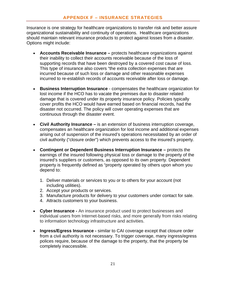Insurance is one strategy for healthcare organizations to transfer risk and better assure organizational sustainability and continuity of operations. Healthcare organizations should maintain relevant insurance products to protect against losses from a disaster. Options might include:

- **Accounts Receivable Insurance** protects healthcare organizations against their inability to collect their accounts receivable because of the loss of supporting records that have been destroyed by a covered cost cause of loss. This type of insurance also covers "the extra collection expenses that are incurred because of such loss or damage and other reasonable expenses incurred to re-establish records of accounts receivable after loss or damage.
- **Business Interruption Insurance**  compensates the healthcare organization for lost income if the HCO has to vacate the premises due to disaster related damage that is covered under its property insurance policy. Policies typically cover profits the HCO would have earned based on financial records, had the disaster not occurred. The policy will cover operating expenses that are continuous through the disaster event.
- **Civil Authority Insurance** is an extension of business interruption coverage, compensates an healthcare organization for lost income and additional expenses arising out of suspension of the insured's operations necessitated by an order of civil authority ("closure order") which prevents access to the insured's property.
- **Contingent or Dependent Business Interruption Insurance** protects the earnings of the insured following physical loss or damage to the property of the insured's suppliers or customers, as opposed to its own property. Dependent property is frequently defined as "property operated by others upon whom you depend to:
	- 1. Deliver materials or services to you or to others for your account (not including utilities).
	- 2. Accept your products or services.
	- 3. Manufacture products for delivery to your customers under contact for sale.
	- 4. Attracts customers to your business.
- **Cyber Insurance** An insurance product used to protect businesses and individual users from Internet-based risks, and more generally from risks relating to information technology infrastructure and activities.
- **Ingress/Egress Insurance** similar to CAI coverage except that closure order from a civil authority is not necessary. To trigger coverage, many ingress/egress polices require, because of the damage to the property, that the property be completely inaccessible.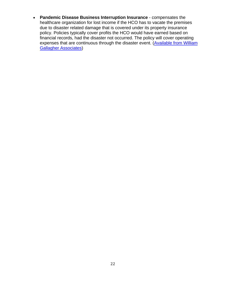**Pandemic Disease Business Interruption Insurance** - compensates the healthcare organization for lost income if the HCO has to vacate the premises due to disaster related damage that is covered under its property insurance policy. Policies typically cover profits the HCO would have earned based on financial records, had the disaster not occurred. The policy will cover operating expenses that are continuous through the disaster event. (Available from William Gallagher Associates)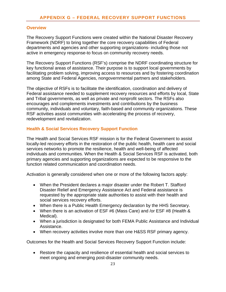#### **Overview**

The Recovery Support Functions were created within the National Disaster Recovery Framework (NDRF) to bring together the core recovery capabilities of Federal departments and agencies and other supporting organizations- including those not active in emergency response-to focus on community recovery needs.

The Recovery Support Functions (RSF's) comprise the NDRF coordinating structure for key functional areas of assistance. Their purpose is to support local governments by facilitating problem solving, improving access to resources and by fostering coordination among State and Federal Agencies, nongovernmental partners and stakeholders.

The objective of RSFs is to facilitate the identification, coordination and delivery of Federal assistance needed to supplement recovery resources and efforts by local, State and Tribal governments, as well as private and nonprofit sectors. The RSFs also encourages and complements investments and contributions by the business community, individuals and voluntary, faith-based and community organizations. These RSF activities assist communities with accelerating the process of recovery, redevelopment and revitalization.

#### **Health & Social Services Recovery Support Function**

The Health and Social Services RSF mission is for the Federal Government to assist locally-led recovery efforts in the restoration of the public health, health care and social services networks to promote the resilience, health and well-being of affected individuals and communities. When the Health & Social Services RSF is activated, both primary agencies and supporting organizations are expected to be responsive to the function related communication and coordination needs.

Activation is generally considered when one or more of the following factors apply:

- When the President declares a major disaster under the Robert T. Stafford Disaster Relief and Emergency Assistance Act and Federal assistance is requested by the appropriate state authorities to assist with their health and social services recovery efforts.
- When there is a Public Health Emergency declaration by the HHS Secretary.
- When there is an activation of ESF #6 (Mass Care) and /or ESF #8 (Health & Medical).
- When a jurisdiction is designated for both FEMA Public Assistance and Individual Assistance.
- When recovery activities involve more than one H&SS RSF primary agency.

Outcomes for the Health and Social Services Recovery Support Function include:

 Restore the capacity and resilience of essential health and social services to meet ongoing and emerging post-disaster community needs.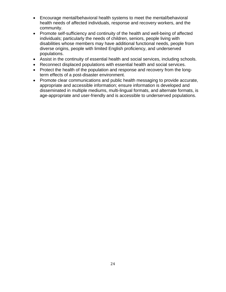- Encourage mental/behavioral health systems to meet the mental/behavioral health needs of affected individuals, response and recovery workers, and the community.
- Promote self-sufficiency and continuity of the health and well-being of affected individuals; particularly the needs of children, seniors, people living with disabilities whose members may have additional functional needs, people from diverse origins, people with limited English proficiency, and underserved populations.
- Assist in the continuity of essential health and social services, including schools.
- Reconnect displaced populations with essential health and social services.
- Protect the health of the population and response and recovery from the longterm effects of a post-disaster environment.
- Promote clear communications and public health messaging to provide accurate, appropriate and accessible information; ensure information is developed and disseminated in multiple mediums, multi-lingual formats, and alternate formats, is age-appropriate and user-friendly and is accessible to underserved populations.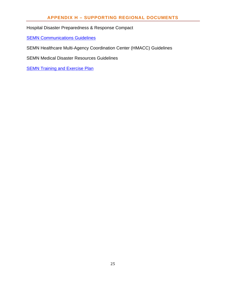### **APPENDIX H – SUPPORTING REGIONAL DOCUMENTS**

#### Hospital Disaster Preparedness & Response Compact

**SEMN Communications Guidelines** 

SEMN Healthcare Multi-Agency Coordination Center (HMACC) Guidelines

SEMN Medical Disaster Resources Guidelines

**SEMN Training and Exercise Plan**